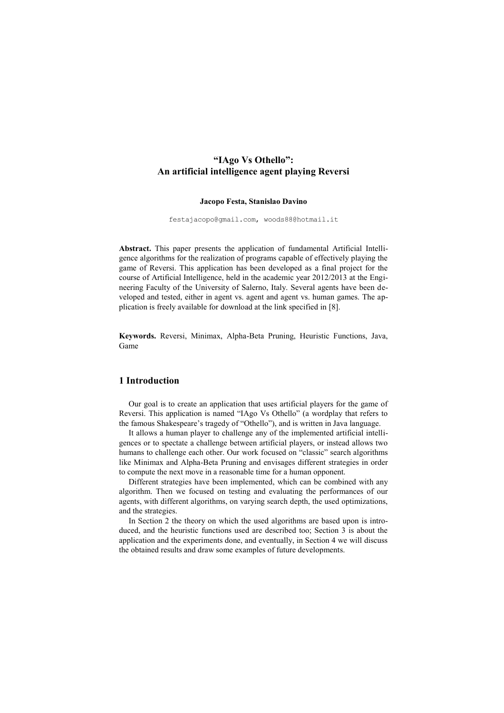# **"IAgo Vs Othello": An artificial intelligence agent playing Reversi**

#### **Jacopo Festa, Stanislao Davino**

festajacopo@gmail.com, woods88@hotmail.it

**Abstract.** This paper presents the application of fundamental Artificial Intelligence algorithms for the realization of programs capable of effectively playing the game of Reversi. This application has been developed as a final project for the course of Artificial Intelligence, held in the academic year 2012/2013 at the Engineering Faculty of the University of Salerno, Italy. Several agents have been developed and tested, either in agent vs. agent and agent vs. human games. The application is freely available for download at the link specified in [8].

**Keywords.** Reversi, Minimax, Alpha-Beta Pruning, Heuristic Functions, Java, Game

## **1 Introduction**

Our goal is to create an application that uses artificial players for the game of Reversi. This application is named "IAgo Vs Othello" (a wordplay that refers to the famous Shakespeare's tragedy of "Othello"), and is written in Java language.

It allows a human player to challenge any of the implemented artificial intelligences or to spectate a challenge between artificial players, or instead allows two humans to challenge each other. Our work focused on "classic" search algorithms like Minimax and Alpha-Beta Pruning and envisages different strategies in order to compute the next move in a reasonable time for a human opponent.

Different strategies have been implemented, which can be combined with any algorithm. Then we focused on testing and evaluating the performances of our agents, with different algorithms, on varying search depth, the used optimizations, and the strategies.

In Section 2 the theory on which the used algorithms are based upon is introduced, and the heuristic functions used are described too; Section 3 is about the application and the experiments done, and eventually, in Section 4 we will discuss the obtained results and draw some examples of future developments.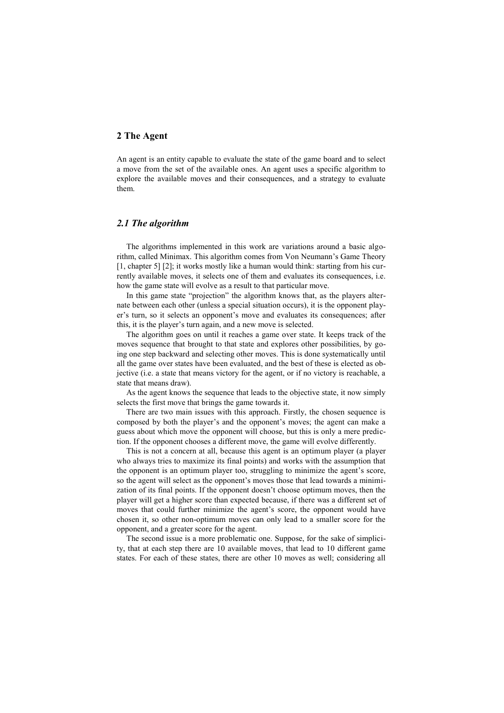# **2 The Agent**

An agent is an entity capable to evaluate the state of the game board and to select a move from the set of the available ones. An agent uses a specific algorithm to explore the available moves and their consequences, and a strategy to evaluate them.

## *2.1 The algorithm*

The algorithms implemented in this work are variations around a basic algorithm, called Minimax. This algorithm comes from Von Neumann's Game Theory [1, chapter 5] [2]; it works mostly like a human would think: starting from his currently available moves, it selects one of them and evaluates its consequences, i.e. how the game state will evolve as a result to that particular move.

In this game state "projection" the algorithm knows that, as the players alternate between each other (unless a special situation occurs), it is the opponent player's turn, so it selects an opponent's move and evaluates its consequences; after this, it is the player's turn again, and a new move is selected.

The algorithm goes on until it reaches a game over state. It keeps track of the moves sequence that brought to that state and explores other possibilities, by going one step backward and selecting other moves. This is done systematically until all the game over states have been evaluated, and the best of these is elected as objective (i.e. a state that means victory for the agent, or if no victory is reachable, a state that means draw).

As the agent knows the sequence that leads to the objective state, it now simply selects the first move that brings the game towards it.

There are two main issues with this approach. Firstly, the chosen sequence is composed by both the player's and the opponent's moves; the agent can make a guess about which move the opponent will choose, but this is only a mere prediction. If the opponent chooses a different move, the game will evolve differently.

This is not a concern at all, because this agent is an optimum player (a player who always tries to maximize its final points) and works with the assumption that the opponent is an optimum player too, struggling to minimize the agent's score, so the agent will select as the opponent's moves those that lead towards a minimization of its final points. If the opponent doesn't choose optimum moves, then the player will get a higher score than expected because, if there was a different set of moves that could further minimize the agent's score, the opponent would have chosen it, so other non-optimum moves can only lead to a smaller score for the opponent, and a greater score for the agent.

The second issue is a more problematic one. Suppose, for the sake of simplicity, that at each step there are 10 available moves, that lead to 10 different game states. For each of these states, there are other 10 moves as well; considering all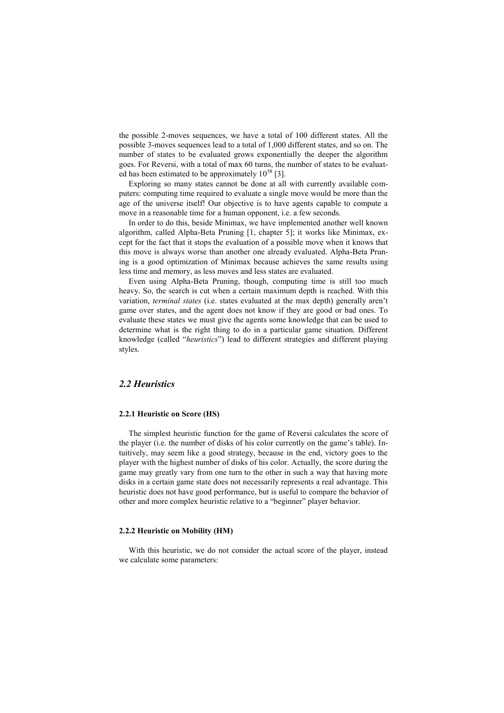the possible 2-moves sequences, we have a total of 100 different states. All the possible 3-moves sequences lead to a total of 1,000 different states, and so on. The number of states to be evaluated grows exponentially the deeper the algorithm goes. For Reversi, with a total of max 60 turns, the number of states to be evaluated has been estimated to be approximately  $10^{58}$  [3].

Exploring so many states cannot be done at all with currently available computers: computing time required to evaluate a single move would be more than the age of the universe itself! Our objective is to have agents capable to compute a move in a reasonable time for a human opponent, i.e. a few seconds.

In order to do this, beside Minimax, we have implemented another well known algorithm, called Alpha-Beta Pruning [1, chapter 5]; it works like Minimax, except for the fact that it stops the evaluation of a possible move when it knows that this move is always worse than another one already evaluated. Alpha-Beta Pruning is a good optimization of Minimax because achieves the same results using less time and memory, as less moves and less states are evaluated.

Even using Alpha-Beta Pruning, though, computing time is still too much heavy. So, the search is cut when a certain maximum depth is reached. With this variation, *terminal states* (i.e. states evaluated at the max depth) generally aren't game over states, and the agent does not know if they are good or bad ones. To evaluate these states we must give the agents some knowledge that can be used to determine what is the right thing to do in a particular game situation. Different knowledge (called "*heuristics*") lead to different strategies and different playing styles.

# *2.2 Heuristics*

#### **2.2.1 Heuristic on Score (HS)**

The simplest heuristic function for the game of Reversi calculates the score of the player (i.e. the number of disks of his color currently on the game's table). Intuitively, may seem like a good strategy, because in the end, victory goes to the player with the highest number of disks of his color. Actually, the score during the game may greatly vary from one turn to the other in such a way that having more disks in a certain game state does not necessarily represents a real advantage. This heuristic does not have good performance, but is useful to compare the behavior of other and more complex heuristic relative to a "beginner" player behavior.

#### **2.2.2 Heuristic on Mobility (HM)**

With this heuristic, we do not consider the actual score of the player, instead we calculate some parameters: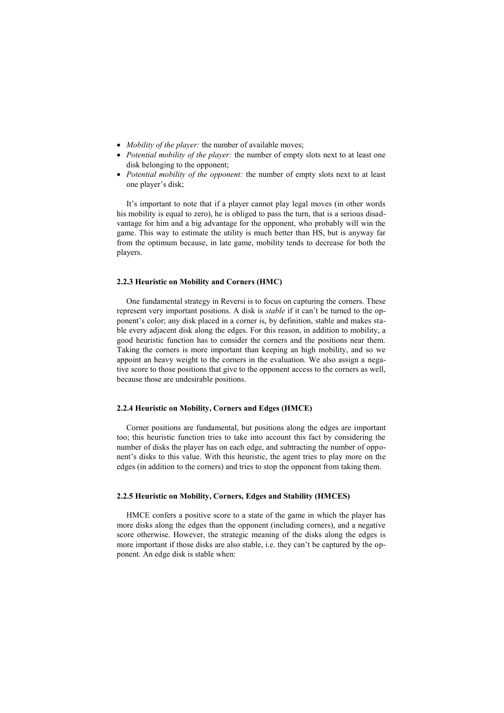- *Mobility of the player:* the number of available moves:
- *Potential mobility of the player:* the number of empty slots next to at least one disk belonging to the opponent;
- *Potential mobility of the opponent:* the number of empty slots next to at least one player's disk;

It's important to note that if a player cannot play legal moves (in other words his mobility is equal to zero), he is obliged to pass the turn, that is a serious disadvantage for him and a big advantage for the opponent, who probably will win the game. This way to estimate the utility is much better than HS, but is anyway far from the optimum because, in late game, mobility tends to decrease for both the players.

### **2.2.3 Heuristic on Mobility and Corners (HMC)**

One fundamental strategy in Reversi is to focus on capturing the corners. These represent very important positions. A disk is *stable* if it can't be turned to the opponent's color; any disk placed in a corner is, by definition, stable and makes stable every adjacent disk along the edges. For this reason, in addition to mobility, a good heuristic function has to consider the corners and the positions near them. Taking the corners is more important than keeping an high mobility, and so we appoint an heavy weight to the corners in the evaluation. We also assign a negative score to those positions that give to the opponent access to the corners as well, because those are undesirable positions.

#### **2.2.4 Heuristic on Mobility, Corners and Edges (HMCE)**

Corner positions are fundamental, but positions along the edges are important too; this heuristic function tries to take into account this fact by considering the number of disks the player has on each edge, and subtracting the number of opponent's disks to this value. With this heuristic, the agent tries to play more on the edges (in addition to the corners) and tries to stop the opponent from taking them.

## **2.2.5 Heuristic on Mobility, Corners, Edges and Stability (HMCES)**

HMCE confers a positive score to a state of the game in which the player has more disks along the edges than the opponent (including corners), and a negative score otherwise. However, the strategic meaning of the disks along the edges is more important if those disks are also stable, i.e. they can't be captured by the opponent. An edge disk is stable when: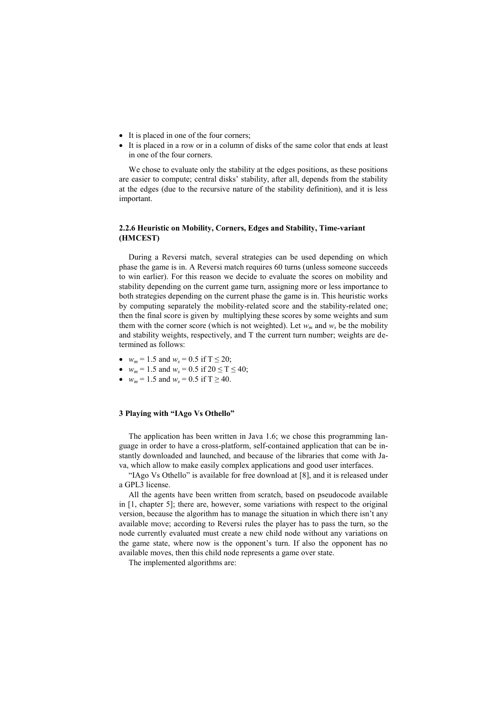- It is placed in one of the four corners;
- $\bullet$  It is placed in a row or in a column of disks of the same color that ends at least in one of the four corners.

We chose to evaluate only the stability at the edges positions, as these positions are easier to compute; central disks' stability, after all, depends from the stability at the edges (due to the recursive nature of the stability definition), and it is less important.

## **2.2.6 Heuristic on Mobility, Corners, Edges and Stability, Time-variant (HMCEST)**

During a Reversi match, several strategies can be used depending on which phase the game is in. A Reversi match requires 60 turns (unless someone succeeds to win earlier). For this reason we decide to evaluate the scores on mobility and stability depending on the current game turn, assigning more or less importance to both strategies depending on the current phase the game is in. This heuristic works by computing separately the mobility-related score and the stability-related one; then the final score is given by multiplying these scores by some weights and sum them with the corner score (which is not weighted). Let  $w_m$  and  $w_s$  be the mobility and stability weights, respectively, and T the current turn number; weights are determined as follows:

- $w_m = 1.5$  and  $w_s = 0.5$  if  $T \le 20$ ;
- $w_m = 1.5$  and  $w_s = 0.5$  if  $20 \le T \le 40$ ;
- $w_m = 1.5$  and  $w_s = 0.5$  if  $T \ge 40$ .

# **3 Playing with "IAgo Vs Othello"**

The application has been written in Java 1.6; we chose this programming language in order to have a cross-platform, self-contained application that can be instantly downloaded and launched, and because of the libraries that come with Java, which allow to make easily complex applications and good user interfaces.

"IAgo Vs Othello" is available for free download at [8], and it is released under a GPL3 license.

All the agents have been written from scratch, based on pseudocode available in [1, chapter 5]; there are, however, some variations with respect to the original version, because the algorithm has to manage the situation in which there isn't any available move; according to Reversi rules the player has to pass the turn, so the node currently evaluated must create a new child node without any variations on the game state, where now is the opponent's turn. If also the opponent has no available moves, then this child node represents a game over state.

The implemented algorithms are: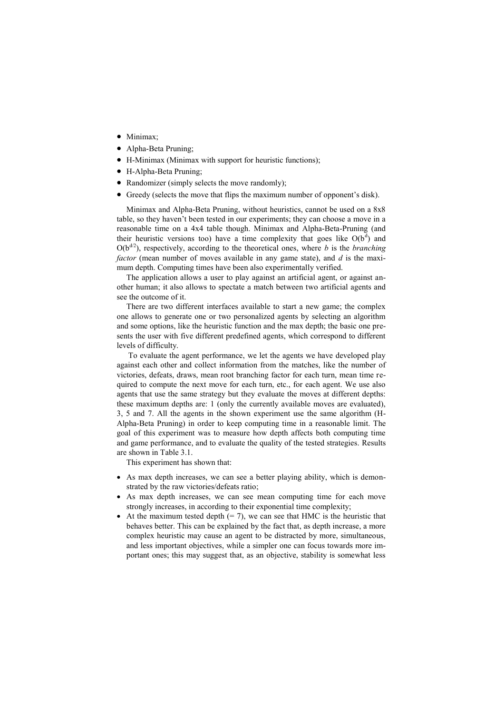- Minimax;
- Alpha-Beta Pruning;
- H-Minimax (Minimax with support for heuristic functions);
- H-Alpha-Beta Pruning;
- Randomizer (simply selects the move randomly);
- Greedy (selects the move that flips the maximum number of opponent's disk).

Minimax and Alpha-Beta Pruning, without heuristics, cannot be used on a 8x8 table, so they haven't been tested in our experiments; they can choose a move in a reasonable time on a 4x4 table though. Minimax and Alpha-Beta-Pruning (and their heuristic versions too) have a time complexity that goes like  $O(b^d)$  and  $O(b^{d/2})$ , respectively, according to the theoretical ones, where *b* is the *branching factor* (mean number of moves available in any game state), and *d* is the maximum depth. Computing times have been also experimentally verified.

The application allows a user to play against an artificial agent, or against another human; it also allows to spectate a match between two artificial agents and see the outcome of it.

There are two different interfaces available to start a new game; the complex one allows to generate one or two personalized agents by selecting an algorithm and some options, like the heuristic function and the max depth; the basic one presents the user with five different predefined agents, which correspond to different levels of difficulty.

To evaluate the agent performance, we let the agents we have developed play against each other and collect information from the matches, like the number of victories, defeats, draws, mean root branching factor for each turn, mean time required to compute the next move for each turn, etc., for each agent. We use also agents that use the same strategy but they evaluate the moves at different depths: these maximum depths are: 1 (only the currently available moves are evaluated), 3, 5 and 7. All the agents in the shown experiment use the same algorithm (H-Alpha-Beta Pruning) in order to keep computing time in a reasonable limit. The goal of this experiment was to measure how depth affects both computing time and game performance, and to evaluate the quality of the tested strategies. Results are shown in Table 3.1.

This experiment has shown that:

- As max depth increases, we can see a better playing ability, which is demonstrated by the raw victories/defeats ratio;
- As max depth increases, we can see mean computing time for each move strongly increases, in according to their exponential time complexity;
- At the maximum tested depth  $(= 7)$ , we can see that HMC is the heuristic that behaves better. This can be explained by the fact that, as depth increase, a more complex heuristic may cause an agent to be distracted by more, simultaneous, and less important objectives, while a simpler one can focus towards more important ones; this may suggest that, as an objective, stability is somewhat less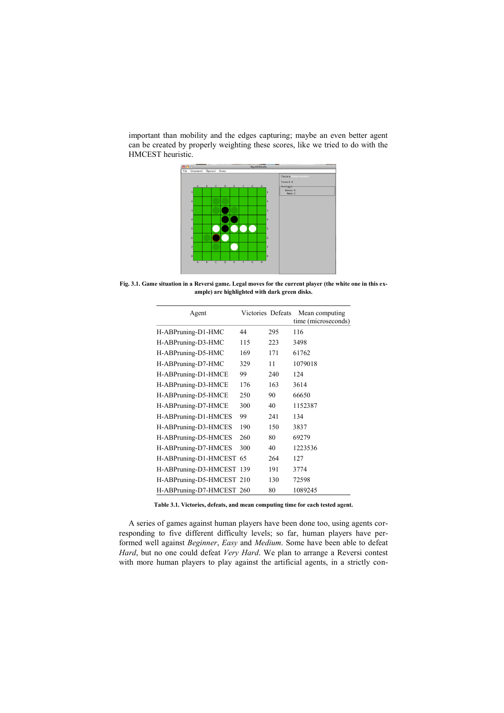important than mobility and the edges capturing; maybe an even better agent can be created by properly weighting these scores, like we tried to do with the HMCEST heuristic.



**Fig. 3.1. Game situation in a Reversi game. Legal moves for the current player (the white one in this example) are highlighted with dark green disks.**

| Agent                     | Victories Defeats |     | Mean computing<br>time (microseconds) |
|---------------------------|-------------------|-----|---------------------------------------|
| H-ABPruning-D1-HMC        | 44                | 295 | 116                                   |
| H-ABPruning-D3-HMC        | 115               | 223 | 3498                                  |
| H-ABPruning-D5-HMC        | 169               | 171 | 61762                                 |
| H-ABPruning-D7-HMC        | 329               | 11  | 1079018                               |
| H-ABPruning-D1-HMCE       | 99                | 240 | 124                                   |
| H-ABPruning-D3-HMCE       | 176               | 163 | 3614                                  |
| H-ABPruning-D5-HMCE       | 250               | 90  | 66650                                 |
| H-ABPruning-D7-HMCE       | 300               | 40  | 1152387                               |
| H-ABPruning-D1-HMCES      | 99                | 241 | 134                                   |
| H-ABPruning-D3-HMCES      | 190               | 150 | 3837                                  |
| H-ABPruning-D5-HMCES      | 260               | 80  | 69279                                 |
| H-ABPruning-D7-HMCES      | 300               | 40  | 1223536                               |
| H-ABPruning-D1-HMCEST     | 65                | 264 | 127                                   |
| H-ABPruning-D3-HMCEST 139 |                   | 191 | 3774                                  |
| H-ABPruning-D5-HMCEST 210 |                   | 130 | 72598                                 |
| H-ABPruning-D7-HMCEST 260 |                   | 80  | 1089245                               |

**Table 3.1. Victories, defeats, and mean computing time for each tested agent.**

A series of games against human players have been done too, using agents corresponding to five different difficulty levels; so far, human players have performed well against *Beginner*, *Easy* and *Medium*. Some have been able to defeat *Hard*, but no one could defeat *Very Hard*. We plan to arrange a Reversi contest with more human players to play against the artificial agents, in a strictly con